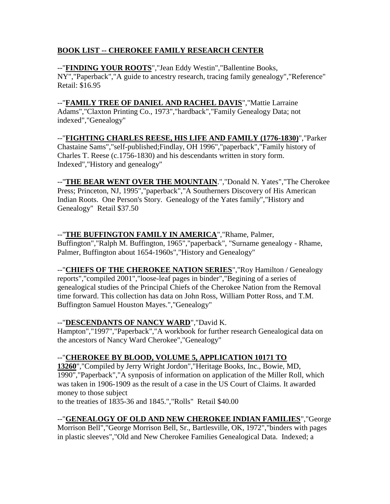# **BOOK LIST -- CHEROKEE FAMILY RESEARCH CENTER**

--"**FINDING YOUR ROOTS**","Jean Eddy Westin","Ballentine Books, NY","Paperback","A guide to ancestry research, tracing family genealogy","Reference" Retail: \$16.95

--"**FAMILY TREE OF DANIEL AND RACHEL DAVIS**","Mattie Larraine Adams","Claxton Printing Co., 1973","hardback","Family Genealogy Data; not indexed","Genealogy"

--"**FIGHTING CHARLES REESE, HIS LIFE AND FAMILY (1776-1830)**","Parker Chastaine Sams","self-published;Findlay, OH 1996","paperback","Family history of Charles T. Reese (c.1756-1830) and his descendants written in story form. Indexed","History and genealogy"

--"**THE BEAR WENT OVER THE MOUNTAIN**.","Donald N. Yates","The Cherokee Press; Princeton, NJ, 1995","paperback","A Southerners Discovery of His American Indian Roots. One Person's Story. Genealogy of the Yates family","History and Genealogy" Retail \$37.50

--"**THE BUFFINGTON FAMILY IN AMERICA**","Rhame, Palmer, Buffington","Ralph M. Buffington, 1965","paperback", "Surname genealogy - Rhame, Palmer, Buffington about 1654-1960s","History and Genealogy"

--"**CHIEFS OF THE CHEROKEE NATION SERIES**","Roy Hamilton / Genealogy reports","compiled 2001","loose-leaf pages in binder","Begining of a series of genealogical studies of the Principal Chiefs of the Cherokee Nation from the Removal time forward. This collection has data on John Ross, William Potter Ross, and T.M. Buffington Samuel Houston Mayes.","Genealogy"

#### --"**DESCENDANTS OF NANCY WARD**","David K.

Hampton","1997","Paperback","A workbook for further research Genealogical data on the ancestors of Nancy Ward Cherokee","Genealogy"

# --"**CHEROKEE BY BLOOD, VOLUME 5, APPLICATION 10171 TO**

**13260**","Compiled by Jerry Wright Jordon","Heritage Books, Inc., Bowie, MD, 1990","Paperback","A synposis of information on application of the Miller Roll, which was taken in 1906-1909 as the result of a case in the US Court of Claims. It awarded money to those subject

to the treaties of 1835-36 and 1845.","Rolls" Retail \$40.00

# --"**GENEALOGY OF OLD AND NEW CHEROKEE INDIAN FAMILIES**","George

Morrison Bell","George Morrison Bell, Sr., Bartlesville, OK, 1972","binders with pages in plastic sleeves","Old and New Cherokee Families Genealogical Data. Indexed; a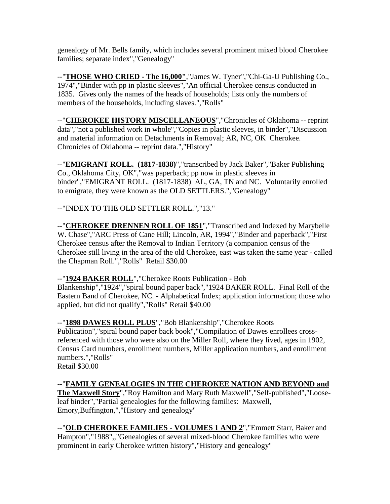genealogy of Mr. Bells family, which includes several prominent mixed blood Cherokee families; separate index","Genealogy"

--"**THOSE WHO CRIED - The 16,000"**,"James W. Tyner","Chi-Ga-U Publishing Co., 1974","Binder with pp in plastic sleeves","An official Cherokee census conducted in 1835. Gives only the names of the heads of households; lists only the numbers of members of the households, including slaves.","Rolls"

--"**CHEROKEE HISTORY MISCELLANEOUS**","Chronicles of Oklahoma -- reprint data","not a published work in whole","Copies in plastic sleeves, in binder","Discussion and material information on Detachments in Removal; AR, NC, OK Cherokee. Chronicles of Oklahoma -- reprint data.","History"

--"**EMIGRANT ROLL. (1817-1838)**","transcribed by Jack Baker","Baker Publishing Co., Oklahoma City, OK","was paperback; pp now in plastic sleeves in binder","EMIGRANT ROLL. (1817-1838) AL, GA, TN and NC. Voluntarily enrolled to emigrate, they were known as the OLD SETTLERS.","Genealogy"

--"INDEX TO THE OLD SETTLER ROLL.","13."

--"**CHEROKEE DRENNEN ROLL OF 1851**","Transcribed and Indexed by Marybelle W. Chase","ARC Press of Cane Hill; Lincoln, AR, 1994","Binder and paperback","First Cherokee census after the Removal to Indian Territory (a companion census of the Cherokee still living in the area of the old Cherokee, east was taken the same year - called the Chapman Roll.","Rolls" Retail \$30.00

--"**1924 BAKER ROLL**","Cherokee Roots Publication - Bob

Blankenship","1924","spiral bound paper back","1924 BAKER ROLL. Final Roll of the Eastern Band of Cherokee, NC. - Alphabetical Index; application information; those who applied, but did not qualify","Rolls" Retail \$40.00

--"**1898 DAWES ROLL PLUS**","Bob Blankenship","Cherokee Roots

Publication","spiral bound paper back book","Compilation of Dawes enrollees crossreferenced with those who were also on the Miller Roll, where they lived, ages in 1902, Census Card numbers, enrollment numbers, Miller application numbers, and enrollment numbers.","Rolls"

Retail \$30.00

--"**FAMILY GENEALOGIES IN THE CHEROKEE NATION AND BEYOND and The Maxwell Story**","Roy Hamilton and Mary Ruth Maxwell","Self-published","Looseleaf binder","Partial genealogies for the following families: Maxwell, Emory,Buffington,","History and genealogy"

--"**OLD CHEROKEE FAMILIES - VOLUMES 1 AND 2**","Emmett Starr, Baker and Hampton","1988",,"Genealogies of several mixed-blood Cherokee families who were prominent in early Cherokee written history","History and genealogy"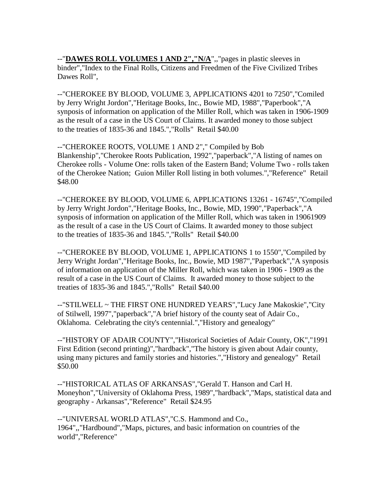--"**DAWES ROLL VOLUMES 1 AND 2","N/A**",,"pages in plastic sleeves in binder","Index to the Final Rolls, Citizens and Freedmen of the Five Civilized Tribes Dawes Roll",

--"CHEROKEE BY BLOOD, VOLUME 3, APPLICATIONS 4201 to 7250","Comiled by Jerry Wright Jordon","Heritage Books, Inc., Bowie MD, 1988","Paperbook","A synposis of information on application of the Miller Roll, which was taken in 1906-1909 as the result of a case in the US Court of Claims. It awarded money to those subject to the treaties of 1835-36 and 1845.","Rolls" Retail \$40.00

--"CHEROKEE ROOTS, VOLUME 1 AND 2"," Compiled by Bob Blankenship","Cherokee Roots Publication, 1992","paperback","A listing of names on Cherokee rolls - Volume One: rolls taken of the Eastern Band; Volume Two - rolls taken of the Cherokee Nation; Guion Miller Roll listing in both volumes.","Reference" Retail \$48.00

--"CHEROKEE BY BLOOD, VOLUME 6, APPLICATIONS 13261 - 16745","Compiled by Jerry Wright Jordon","Heritage Books, Inc., Bowie, MD, 1990","Paperback","A synposis of information on application of the Miller Roll, which was taken in 19061909 as the result of a case in the US Court of Claims. It awarded money to those subject to the treaties of 1835-36 and 1845.","Rolls" Retail \$40.00

--"CHEROKEE BY BLOOD, VOLUME 1, APPLICATIONS 1 to 1550","Compiled by Jerry Wright Jordan","Heritage Books, Inc., Bowie, MD 1987","Paperback","A synposis of information on application of the Miller Roll, which was taken in 1906 - 1909 as the result of a case in the US Court of Claims. It awarded money to those subject to the treaties of 1835-36 and 1845.","Rolls" Retail \$40.00

--"STILWELL ~ THE FIRST ONE HUNDRED YEARS","Lucy Jane Makoskie","City of Stilwell, 1997","paperback","A brief history of the county seat of Adair Co., Oklahoma. Celebrating the city's centennial.","History and genealogy"

--"HISTORY OF ADAIR COUNTY","Historical Societies of Adair County, OK","1991 First Edition (second printing)","hardback","The history is given about Adair county, using many pictures and family stories and histories.","History and genealogy" Retail \$50.00

--"HISTORICAL ATLAS OF ARKANSAS","Gerald T. Hanson and Carl H. Moneyhon","University of Oklahoma Press, 1989","hardback","Maps, statistical data and geography - Arkansas","Reference" Retail \$24.95

--"UNIVERSAL WORLD ATLAS","C.S. Hammond and Co., 1964",,"Hardbound","Maps, pictures, and basic information on countries of the world","Reference"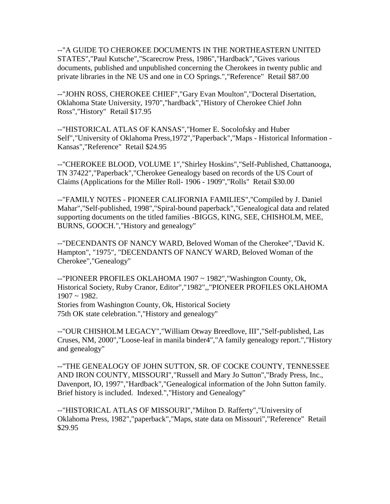--"A GUIDE TO CHEROKEE DOCUMENTS IN THE NORTHEASTERN UNITED STATES","Paul Kutsche","Scarecrow Press, 1986","Hardback","Gives various documents, published and unpublished concerning the Cherokees in twenty public and private libraries in the NE US and one in CO Springs.","Reference" Retail \$87.00

--"JOHN ROSS, CHEROKEE CHIEF","Gary Evan Moulton","Docteral Disertation, Oklahoma State University, 1970","hardback","History of Cherokee Chief John Ross","History" Retail \$17.95

--"HISTORICAL ATLAS OF KANSAS","Homer E. Socolofsky and Huber Self","University of Oklahoma Press,1972","Paperback","Maps - Historical Information - Kansas","Reference" Retail \$24.95

--"CHEROKEE BLOOD, VOLUME 1","Shirley Hoskins","Self-Published, Chattanooga, TN 37422","Paperback","Cherokee Genealogy based on records of the US Court of Claims (Applications for the Miller Roll- 1906 - 1909","Rolls" Retail \$30.00

--"FAMILY NOTES - PIONEER CALIFORNIA FAMILIES","Compiled by J. Daniel Mahar","Self-published, 1998","Spiral-bound paperback","Genealogical data and related supporting documents on the titled families -BIGGS, KING, SEE, CHISHOLM, MEE, BURNS, GOOCH.","History and genealogy"

--"DECENDANTS OF NANCY WARD, Beloved Woman of the Cherokee","David K. Hampton", "1975", "DECENDANTS OF NANCY WARD, Beloved Woman of the Cherokee","Genealogy"

--"PIONEER PROFILES OKLAHOMA 1907 ~ 1982","Washington County, Ok, Historical Society, Ruby Cranor, Editor","1982",,"PIONEER PROFILES OKLAHOMA  $1907 \sim 1982$ .

Stories from Washington County, Ok, Historical Society 75th OK state celebration.","History and genealogy"

--"OUR CHISHOLM LEGACY","William Otway Breedlove, III","Self-published, Las Cruses, NM, 2000","Loose-leaf in manila binder4","A family genealogy report.","History and genealogy"

--"THE GENEALOGY OF JOHN SUTTON, SR. OF COCKE COUNTY, TENNESSEE AND IRON COUNTY, MISSOURI","Russell and Mary Jo Sutton","Brady Press, Inc., Davenport, IO, 1997","Hardback","Genealogical information of the John Sutton family. Brief history is included. Indexed.","History and Genealogy"

--"HISTORICAL ATLAS OF MISSOURI","Milton D. Rafferty","University of Oklahoma Press, 1982","paperback","Maps, state data on Missouri","Reference" Retail \$29.95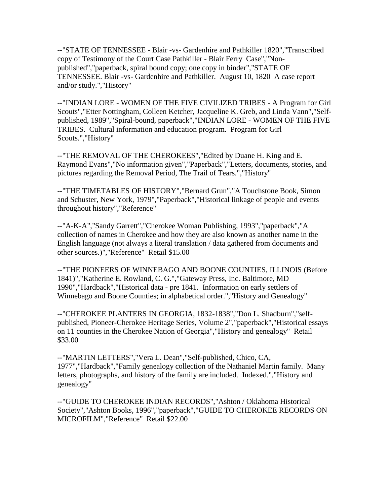--"STATE OF TENNESSEE - Blair -vs- Gardenhire and Pathkiller 1820","Transcribed copy of Testimony of the Court Case Pathkiller - Blair Ferry Case","Nonpublished","paperback, spiral bound copy; one copy in binder","STATE OF TENNESSEE. Blair -vs- Gardenhire and Pathkiller. August 10, 1820 A case report and/or study.","History"

--"INDIAN LORE - WOMEN OF THE FIVE CIVILIZED TRIBES - A Program for Girl Scouts","Etter Nottingham, Colleen Ketcher, Jacqueline K. Greb, and Linda Vann","Selfpublished, 1989","Spiral-bound, paperback","INDIAN LORE - WOMEN OF THE FIVE TRIBES. Cultural information and education program. Program for Girl Scouts.","History"

--"THE REMOVAL OF THE CHEROKEES","Edited by Duane H. King and E. Raymond Evans","No information given","Paperback","Letters, documents, stories, and pictures regarding the Removal Period, The Trail of Tears.","History"

--"THE TIMETABLES OF HISTORY","Bernard Grun","A Touchstone Book, Simon and Schuster, New York, 1979","Paperback","Historical linkage of people and events throughout history","Reference"

--"A-K-A","Sandy Garrett","Cherokee Woman Publishing, 1993","paperback","A collection of names in Cherokee and how they are also known as another name in the English language (not always a literal translation / data gathered from documents and other sources.)","Reference" Retail \$15.00

--"THE PIONEERS OF WINNEBAGO AND BOONE COUNTIES, ILLINOIS (Before 1841)","Katherine E. Rowland, C. G.","Gateway Press, Inc. Baltimore, MD 1990","Hardback","Historical data - pre 1841. Information on early settlers of Winnebago and Boone Counties; in alphabetical order.","History and Genealogy"

--"CHEROKEE PLANTERS IN GEORGIA, 1832-1838","Don L. Shadburn","selfpublished, Pioneer-Cherokee Heritage Series, Volume 2","paperback","Historical essays on 11 counties in the Cherokee Nation of Georgia","History and genealogy" Retail \$33.00

--"MARTIN LETTERS","Vera L. Dean","Self-published, Chico, CA, 1977","Hardback","Family genealogy collection of the Nathaniel Martin family. Many letters, photographs, and history of the family are included. Indexed.","History and genealogy"

--"GUIDE TO CHEROKEE INDIAN RECORDS","Ashton / Oklahoma Historical Society","Ashton Books, 1996","paperback","GUIDE TO CHEROKEE RECORDS ON MICROFILM","Reference" Retail \$22.00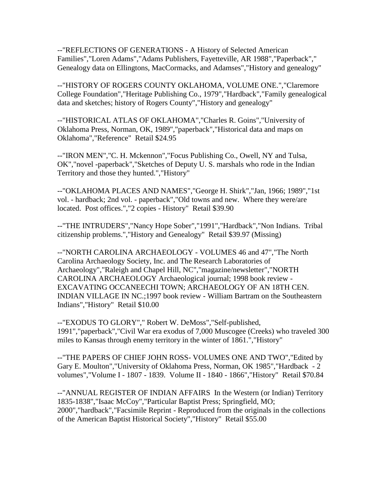--"REFLECTIONS OF GENERATIONS - A History of Selected American Families","Loren Adams","Adams Publishers, Fayetteville, AR 1988","Paperback"," Genealogy data on Ellingtons, MacCormacks, and Adamses","History and genealogy"

--"HISTORY OF ROGERS COUNTY OKLAHOMA, VOLUME ONE.","Claremore College Foundation","Heritage Publishing Co., 1979","Hardback","Family genealogical data and sketches; history of Rogers County","History and genealogy"

--"HISTORICAL ATLAS OF OKLAHOMA","Charles R. Goins","University of Oklahoma Press, Norman, OK, 1989","paperback","Historical data and maps on Oklahoma","Reference" Retail \$24.95

--"IRON MEN","C. H. Mckennon","Focus Publishing Co., Owell, NY and Tulsa, OK","novel -paperback","Sketches of Deputy U. S. marshals who rode in the Indian Territory and those they hunted.","History"

--"OKLAHOMA PLACES AND NAMES","George H. Shirk","Jan, 1966; 1989","1st vol. - hardback; 2nd vol. - paperback","Old towns and new. Where they were/are located. Post offices.","2 copies - History" Retail \$39.90

--"THE INTRUDERS","Nancy Hope Sober","1991","Hardback","Non Indians. Tribal citizenship problems.","History and Genealogy" Retail \$39.97 (Missing)

--"NORTH CAROLINA ARCHAEOLOGY - VOLUMES 46 and 47","The North Carolina Archaeology Society, Inc. and The Research Laboratories of Archaeology","Raleigh and Chapel Hill, NC","magazine/newsletter","NORTH CAROLINA ARCHAEOLOGY Archaeological journal; 1998 book review - EXCAVATING OCCANEECHI TOWN; ARCHAEOLOGY OF AN 18TH CEN. INDIAN VILLAGE IN NC.;1997 book review - William Bartram on the Southeastern Indians","History" Retail \$10.00

--"EXODUS TO GLORY"," Robert W. DeMoss","Self-published, 1991","paperback","Civil War era exodus of 7,000 Muscogee (Creeks) who traveled 300 miles to Kansas through enemy territory in the winter of 1861.","History"

--"THE PAPERS OF CHIEF JOHN ROSS- VOLUMES ONE AND TWO","Edited by Gary E. Moulton","University of Oklahoma Press, Norman, OK 1985","Hardback - 2 volumes","Volume I - 1807 - 1839. Volume II - 1840 - 1866","History" Retail \$70.84

--"ANNUAL REGISTER OF INDIAN AFFAIRS In the Western (or Indian) Territory 1835-1838","Isaac McCoy","Particular Baptist Press; Springfield, MO; 2000","hardback","Facsimile Reprint - Reproduced from the originals in the collections of the American Baptist Historical Society","History" Retail \$55.00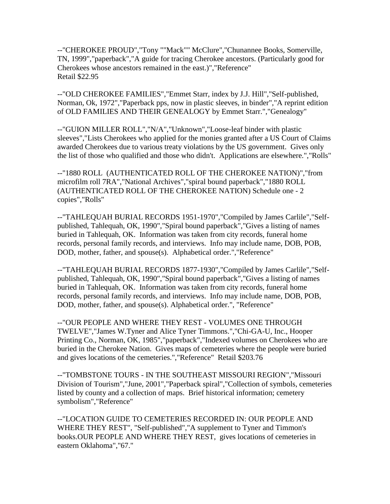--"CHEROKEE PROUD","Tony ""Mack"" McClure","Chunannee Books, Somerville, TN, 1999","paperback","A guide for tracing Cherokee ancestors. (Particularly good for Cherokees whose ancestors remained in the east.)","Reference" Retail \$22.95

--"OLD CHEROKEE FAMILIES","Emmet Starr, index by J.J. Hill","Self-published, Norman, Ok, 1972","Paperback pps, now in plastic sleeves, in binder","A reprint edition of OLD FAMILIES AND THEIR GENEALOGY by Emmet Starr.","Genealogy"

--"GUION MILLER ROLL","N/A","Unknown","Loose-leaf binder with plastic sleeves","Lists Cherokees who applied for the monies granted after a US Court of Claims awarded Cherokees due to various treaty violations by the US government. Gives only the list of those who qualified and those who didn't. Applications are elsewhere.","Rolls"

--"1880 ROLL (AUTHENTICATED ROLL OF THE CHEROKEE NATION)","from microfilm roll 7RA","National Archives","spiral bound paperback","1880 ROLL (AUTHENTICATED ROLL OF THE CHEROKEE NATION) Schedule one - 2 copies","Rolls"

--"TAHLEQUAH BURIAL RECORDS 1951-1970","Compiled by James Carlile","Selfpublished, Tahlequah, OK, 1990","Spiral bound paperback","Gives a listing of names buried in Tahlequah, OK. Information was taken from city records, funeral home records, personal family records, and interviews. Info may include name, DOB, POB, DOD, mother, father, and spouse(s). Alphabetical order.","Reference"

--"TAHLEQUAH BURIAL RECORDS 1877-1930","Compiled by James Carlile","Selfpublished, Tahlequah, OK, 1990","Spiral bound paperback","Gives a listing of names buried in Tahlequah, OK. Information was taken from city records, funeral home records, personal family records, and interviews. Info may include name, DOB, POB, DOD, mother, father, and spouse(s). Alphabetical order.", "Reference"

--"OUR PEOPLE AND WHERE THEY REST - VOLUMES ONE THROUGH TWELVE","James W.Tyner and Alice Tyner Timmons.","Chi-GA-U, Inc., Hooper Printing Co., Norman, OK, 1985","paperback","Indexed volumes on Cherokees who are buried in the Cherokee Nation. Gives maps of cemeteries where the people were buried and gives locations of the cemeteries.","Reference" Retail \$203.76

--"TOMBSTONE TOURS - IN THE SOUTHEAST MISSOURI REGION","Missouri Division of Tourism","June, 2001","Paperback spiral","Collection of symbols, cemeteries listed by county and a collection of maps. Brief historical information; cemetery symbolism","Reference"

--"LOCATION GUIDE TO CEMETERIES RECORDED IN: OUR PEOPLE AND WHERE THEY REST", "Self-published","A supplement to Tyner and Timmon's books.OUR PEOPLE AND WHERE THEY REST, gives locations of cemeteries in eastern Oklahoma","67."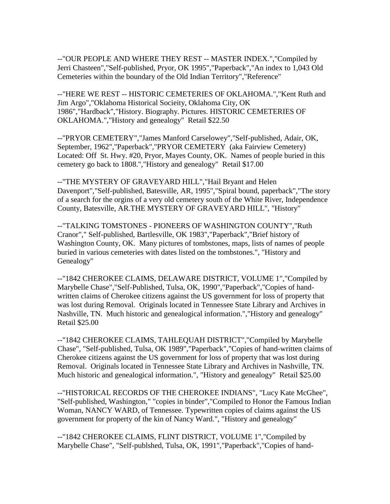--"OUR PEOPLE AND WHERE THEY REST -- MASTER INDEX.","Compiled by Jerri Chasteen","Self-published, Pryor, OK 1995","Paperback","An index to 1,043 Old Cemeteries within the boundary of the Old Indian Territory","Reference"

--"HERE WE REST -- HISTORIC CEMETERIES OF OKLAHOMA.", "Kent Ruth and Jim Argo","Oklahoma Historical Socieity, Oklahoma City, OK 1986","Hardback","History. Biography. Pictures. HISTORIC CEMETERIES OF OKLAHOMA.","History and genealogy" Retail \$22.50

--"PRYOR CEMETERY","James Manford Carselowey","Self-published, Adair, OK, September, 1962","Paperback","PRYOR CEMETERY (aka Fairview Cemetery) Located: Off St. Hwy. #20, Pryor, Mayes County, OK. Names of people buried in this cemetery go back to 1808.","History and genealogy" Retail \$17.00

--"THE MYSTERY OF GRAVEYARD HILL","Hail Bryant and Helen Davenport","Self-published, Batesville, AR, 1995","Spiral bound, paperback","The story of a search for the orgins of a very old cemetery south of the White River, Independence County, Batesville, AR.THE MYSTERY OF GRAVEYARD HILL", "History"

--"TALKING TOMSTONES - PIONEERS OF WASHINGTON COUNTY","Ruth Cranor"," Self-published, Bartlesville, OK 1983","Paperback","Brief history of Washington County, OK. Many pictures of tombstones, maps, lists of names of people buried in various cemeteries with dates listed on the tombstones.", "History and Genealogy"

--"1842 CHEROKEE CLAIMS, DELAWARE DISTRICT, VOLUME 1","Compiled by Marybelle Chase","Self-Published, Tulsa, OK, 1990","Paperback","Copies of handwritten claims of Cherokee citizens against the US government for loss of property that was lost during Removal. Originals located in Tennessee State Library and Archives in Nashville, TN. Much historic and genealogical information.","History and genealogy" Retail \$25.00

--"1842 CHEROKEE CLAIMS, TAHLEQUAH DISTRICT","Compiled by Marybelle Chase", "Self-published, Tulsa, OK 1989","Paperback","Copies of hand-written claims of Cherokee citizens against the US government for loss of property that was lost during Removal. Originals located in Tennessee State Library and Archives in Nashville, TN. Much historic and genealogical information.", "History and genealogy" Retail \$25.00

--"HISTORICAL RECORDS OF THE CHEROKEE INDIANS", "Lucy Kate McGhee", "Self-published, Washington," "copies in binder","Compiled to Honor the Famous Indian Woman, NANCY WARD, of Tennessee. Typewritten copies of claims against the US government for property of the kin of Nancy Ward.", "History and genealogy"

--"1842 CHEROKEE CLAIMS, FLINT DISTRICT, VOLUME 1","Compiled by Marybelle Chase", "Self-publshed, Tulsa, OK, 1991","Paperback","Copies of hand-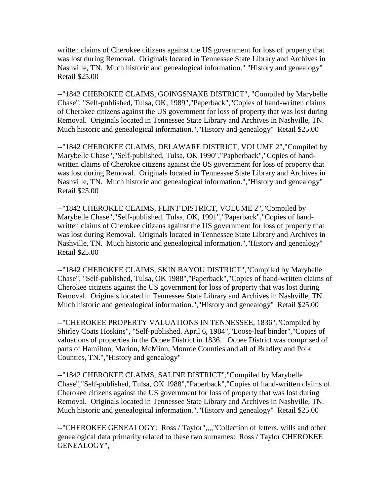written claims of Cherokee citizens against the US government for loss of property that was lost during Removal. Originals located in Tennessee State Library and Archives in Nashville, TN. Much historic and genealogical information." "History and genealogy" Retail \$25.00

--"1842 CHEROKEE CLAIMS, GOINGSNAKE DISTRICT", "Compiled by Marybelle Chase", "Self-published, Tulsa, OK, 1989","Paperback","Copies of hand-written claims of Cherokee citizens against the US government for loss of property that was lost during Removal. Originals located in Tennessee State Library and Archives in Nashville, TN. Much historic and genealogical information.","History and genealogy" Retail \$25.00

--"1842 CHEROKEE CLAIMS, DELAWARE DISTRICT, VOLUME 2","Compiled by Marybelle Chase","Self-published, Tulsa, OK 1990","Papberback","Copies of handwritten claims of Cherokee citizens against the US government for loss of property that was lost during Removal. Originals located in Tennessee State Library and Archives in Nashville, TN. Much historic and genealogical information.","History and genealogy" Retail \$25.00

--"1842 CHEROKEE CLAIMS, FLINT DISTRICT, VOLUME 2","Compiled by Marybelle Chase","Self-published, Tulsa, OK, 1991","Paperback","Copies of handwritten claims of Cherokee citizens against the US government for loss of property that was lost during Removal. Originals located in Tennessee State Library and Archives in Nashville, TN. Much historic and genealogical information.","History and genealogy" Retail \$25.00

--"1842 CHEROKEE CLAIMS, SKIN BAYOU DISTRICT","Compiled by Marybelle Chase", "Self-published, Tulsa, OK 1988","Paperback","Copies of hand-written claims of Cherokee citizens against the US government for loss of property that was lost during Removal. Originals located in Tennessee State Library and Archives in Nashville, TN. Much historic and genealogical information.","History and genealogy" Retail \$25.00

--"CHEROKEE PROPERTY VALUATIONS IN TENNESSEE, 1836","Compiled by Shirley Coats Hoskins", "Self-published, April 6, 1984","Loose-leaf binder","Copies of valuations of properties in the Ocoee District in 1836. Ocoee District was comprised of parts of Hamilton, Marion, McMinn, Monroe Counties and all of Bradley and Polk Counties, TN.","History and genealogy"

--"1842 CHEROKEE CLAIMS, SALINE DISTRICT","Compiled by Marybelle Chase","Self-published, Tulsa, OK 1988","Paperback","Copies of hand-written claims of Cherokee citizens against the US government for loss of property that was lost during Removal. Originals located in Tennessee State Library and Archives in Nashville, TN. Much historic and genealogical information.","History and genealogy" Retail \$25.00

--"CHEROKEE GENEALOGY: Ross / Taylor",,,,"Collection of letters, wills and other genealogical data primarily related to these two surnames: Ross / Taylor CHEROKEE GENEALOGY",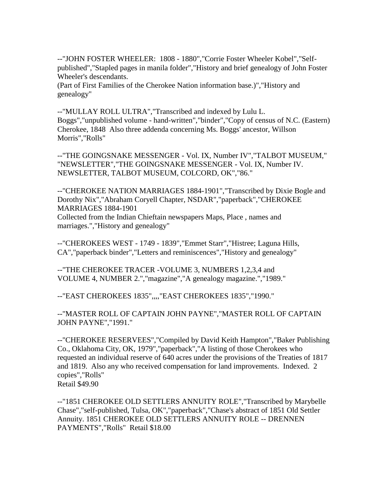--"JOHN FOSTER WHEELER: 1808 - 1880","Corrie Foster Wheeler Kobel","Selfpublished","Stapled pages in manila folder","History and brief genealogy of John Foster Wheeler's descendants.

(Part of First Families of the Cherokee Nation information base.)","History and genealogy"

--"MULLAY ROLL ULTRA","Transcribed and indexed by Lulu L. Boggs","unpublished volume - hand-written","binder","Copy of census of N.C. (Eastern) Cherokee, 1848 Also three addenda concerning Ms. Boggs' ancestor, Willson Morris","Rolls"

--"THE GOINGSNAKE MESSENGER - Vol. IX, Number IV","TALBOT MUSEUM," "NEWSLETTER","THE GOINGSNAKE MESSENGER - Vol. IX, Number IV. NEWSLETTER, TALBOT MUSEUM, COLCORD, OK","86."

--"CHEROKEE NATION MARRIAGES 1884-1901","Transcribed by Dixie Bogle and Dorothy Nix","Abraham Coryell Chapter, NSDAR","paperback","CHEROKEE MARRIAGES 1884-1901 Collected from the Indian Chieftain newspapers Maps, Place , names and marriages.","History and genealogy"

--"CHEROKEES WEST - 1749 - 1839","Emmet Starr","Histree; Laguna Hills, CA","paperback binder","Letters and reminiscences","History and genealogy"

--"THE CHEROKEE TRACER -VOLUME 3, NUMBERS 1,2,3,4 and VOLUME 4, NUMBER 2.","magazine","A genealogy magazine.","1989."

--"EAST CHEROKEES 1835",,,,"EAST CHEROKEES 1835","1990."

--"MASTER ROLL OF CAPTAIN JOHN PAYNE","MASTER ROLL OF CAPTAIN JOHN PAYNE","1991."

--"CHEROKEE RESERVEES","Compiled by David Keith Hampton","Baker Publishing Co., Oklahoma City, OK, 1979","paperback","A listing of those Cherokees who requested an individual reserve of 640 acres under the provisions of the Treaties of 1817 and 1819. Also any who received compensation for land improvements. Indexed. 2 copies","Rolls" Retail \$49.90

--"1851 CHEROKEE OLD SETTLERS ANNUITY ROLE","Transcribed by Marybelle Chase","self-published, Tulsa, OK","paperback","Chase's abstract of 1851 Old Settler Annuity. 1851 CHEROKEE OLD SETTLERS ANNUITY ROLE -- DRENNEN PAYMENTS","Rolls" Retail \$18.00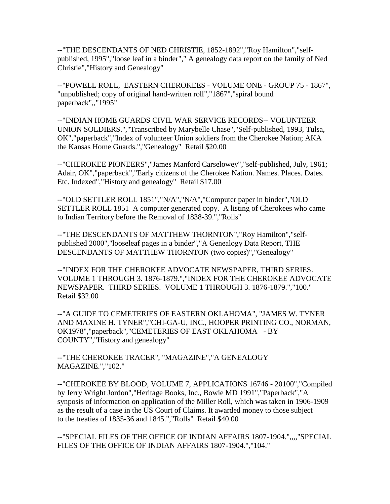--"THE DESCENDANTS OF NED CHRISTIE, 1852-1892","Roy Hamilton","selfpublished, 1995","loose leaf in a binder"," A genealogy data report on the family of Ned Christie","History and Genealogy"

--"POWELL ROLL, EASTERN CHEROKEES - VOLUME ONE - GROUP 75 - 1867", "unpublished; copy of original hand-written roll","1867","spiral bound paperback",,"1995"

--"INDIAN HOME GUARDS CIVIL WAR SERVICE RECORDS-- VOLUNTEER UNION SOLDIERS.","Transcribed by Marybelle Chase","Self-published, 1993, Tulsa, OK","paperback","Index of volunteer Union soldiers from the Cherokee Nation; AKA the Kansas Home Guards.","Genealogy" Retail \$20.00

--"CHEROKEE PIONEERS","James Manford Carselowey","self-published, July, 1961; Adair, OK","paperback","Early citizens of the Cherokee Nation. Names. Places. Dates. Etc. Indexed","History and genealogy" Retail \$17.00

--"OLD SETTLER ROLL 1851","N/A","N/A","Computer paper in binder","OLD SETTLER ROLL 1851 A computer generated copy. A listing of Cherokees who came to Indian Territory before the Removal of 1838-39.","Rolls"

--"THE DESCENDANTS OF MATTHEW THORNTON","Roy Hamilton","selfpublished 2000","looseleaf pages in a binder","A Genealogy Data Report, THE DESCENDANTS OF MATTHEW THORNTON (two copies)","Genealogy"

--"INDEX FOR THE CHEROKEE ADVOCATE NEWSPAPER, THIRD SERIES. VOLUME 1 THROUGH 3. 1876-1879.","INDEX FOR THE CHEROKEE ADVOCATE NEWSPAPER. THIRD SERIES. VOLUME 1 THROUGH 3. 1876-1879.","100." Retail \$32.00

--"A GUIDE TO CEMETERIES OF EASTERN OKLAHOMA", "JAMES W. TYNER AND MAXINE H. TYNER","CHI-GA-U, INC., HOOPER PRINTING CO., NORMAN, OK1978","paperback","CEMETERIES OF EAST OKLAHOMA - BY COUNTY","History and genealogy"

--"THE CHEROKEE TRACER", "MAGAZINE","A GENEALOGY MAGAZINE.","102."

--"CHEROKEE BY BLOOD, VOLUME 7, APPLICATIONS 16746 - 20100","Compiled by Jerry Wright Jordon","Heritage Books, Inc., Bowie MD 1991","Paperback","A synposis of information on application of the Miller Roll, which was taken in 1906-1909 as the result of a case in the US Court of Claims. It awarded money to those subject to the treaties of 1835-36 and 1845.","Rolls" Retail \$40.00

--"SPECIAL FILES OF THE OFFICE OF INDIAN AFFAIRS 1807-1904.",,,,"SPECIAL FILES OF THE OFFICE OF INDIAN AFFAIRS 1807-1904.","104."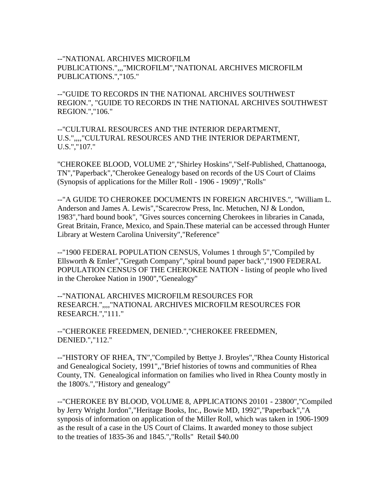#### --"NATIONAL ARCHIVES MICROFILM PUBLICATIONS.",,,"MICROFILM","NATIONAL ARCHIVES MICROFILM PUBLICATIONS.","105."

--"GUIDE TO RECORDS IN THE NATIONAL ARCHIVES SOUTHWEST REGION.", "GUIDE TO RECORDS IN THE NATIONAL ARCHIVES SOUTHWEST REGION.","106."

--"CULTURAL RESOURCES AND THE INTERIOR DEPARTMENT, U.S.",,,,"CULTURAL RESOURCES AND THE INTERIOR DEPARTMENT, U.S.","107."

"CHEROKEE BLOOD, VOLUME 2","Shirley Hoskins","Self-Published, Chattanooga, TN","Paperback","Cherokee Genealogy based on records of the US Court of Claims (Synopsis of applications for the Miller Roll - 1906 - 1909)","Rolls"

--"A GUIDE TO CHEROKEE DOCUMENTS IN FOREIGN ARCHIVES.", "William L. Anderson and James A. Lewis","Scarecrow Press, Inc. Metuchen, NJ & London, 1983","hard bound book", "Gives sources concerning Cherokees in libraries in Canada, Great Britain, France, Mexico, and Spain.These material can be accessed through Hunter Library at Western Carolina University","Reference"

--"1900 FEDERAL POPULATION CENSUS, Volumes 1 through 5","Compiled by Ellsworth & Emler","Gregath Company","spiral bound paper back","1900 FEDERAL POPULATION CENSUS OF THE CHEROKEE NATION - listing of people who lived in the Cherokee Nation in 1900","Genealogy"

--"NATIONAL ARCHIVES MICROFILM RESOURCES FOR RESEARCH.",,,,"NATIONAL ARCHIVES MICROFILM RESOURCES FOR RESEARCH.","111."

--"CHEROKEE FREEDMEN, DENIED.","CHEROKEE FREEDMEN, DENIED.","112."

--"HISTORY OF RHEA, TN","Compiled by Bettye J. Broyles","Rhea County Historical and Genealogical Society, 1991",,"Brief histories of towns and communities of Rhea County, TN. Genealogical information on families who lived in Rhea County mostly in the 1800's.","History and genealogy"

--"CHEROKEE BY BLOOD, VOLUME 8, APPLICATIONS 20101 - 23800","Compiled by Jerry Wright Jordon","Heritage Books, Inc., Bowie MD, 1992","Paperback","A synposis of information on application of the Miller Roll, which was taken in 1906-1909 as the result of a case in the US Court of Claims. It awarded money to those subject to the treaties of 1835-36 and 1845.","Rolls" Retail \$40.00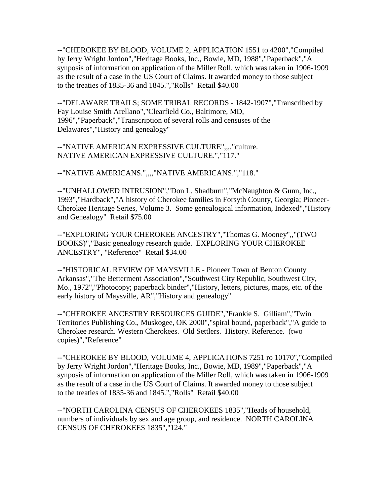--"CHEROKEE BY BLOOD, VOLUME 2, APPLICATION 1551 to 4200","Compiled by Jerry Wright Jordon","Heritage Books, Inc., Bowie, MD, 1988","Paperback","A synposis of information on application of the Miller Roll, which was taken in 1906-1909 as the result of a case in the US Court of Claims. It awarded money to those subject to the treaties of 1835-36 and 1845.","Rolls" Retail \$40.00

--"DELAWARE TRAILS; SOME TRIBAL RECORDS - 1842-1907","Transcribed by Fay Louise Smith Arellano","Clearfield Co., Baltimore, MD, 1996","Paperback","Transcription of several rolls and censuses of the Delawares","History and genealogy"

--"NATIVE AMERICAN EXPRESSIVE CULTURE",,,,"culture. NATIVE AMERICAN EXPRESSIVE CULTURE.","117."

--"NATIVE AMERICANS.",,,,"NATIVE AMERICANS.","118."

--"UNHALLOWED INTRUSION","Don L. Shadburn","McNaughton & Gunn, Inc., 1993","Hardback","A history of Cherokee families in Forsyth County, Georgia; Pioneer-Cherokee Heritage Series, Volume 3. Some genealogical information, Indexed","History and Genealogy" Retail \$75.00

--"EXPLORING YOUR CHEROKEE ANCESTRY","Thomas G. Mooney",,"(TWO BOOKS)","Basic genealogy research guide. EXPLORING YOUR CHEROKEE ANCESTRY", "Reference" Retail \$34.00

--"HISTORICAL REVIEW OF MAYSVILLE - Pioneer Town of Benton County Arkansas","The Betterment Association","Southwest City Republic, Southwest City, Mo., 1972","Photocopy; paperback binder","History, letters, pictures, maps, etc. of the early history of Maysville, AR","History and genealogy"

--"CHEROKEE ANCESTRY RESOURCES GUIDE","Frankie S. Gilliam","Twin Territories Publishing Co., Muskogee, OK 2000","spiral bound, paperback","A guide to Cherokee research. Western Cherokees. Old Settlers. History. Reference. (two copies)","Reference"

--"CHEROKEE BY BLOOD, VOLUME 4, APPLICATIONS 7251 ro 10170","Compiled by Jerry Wright Jordon","Heritage Books, Inc., Bowie, MD, 1989","Paperback","A synposis of information on application of the Miller Roll, which was taken in 1906-1909 as the result of a case in the US Court of Claims. It awarded money to those subject to the treaties of 1835-36 and 1845.","Rolls" Retail \$40.00

--"NORTH CAROLINA CENSUS OF CHEROKEES 1835","Heads of household, numbers of individuals by sex and age group, and residence. NORTH CAROLINA CENSUS OF CHEROKEES 1835","124."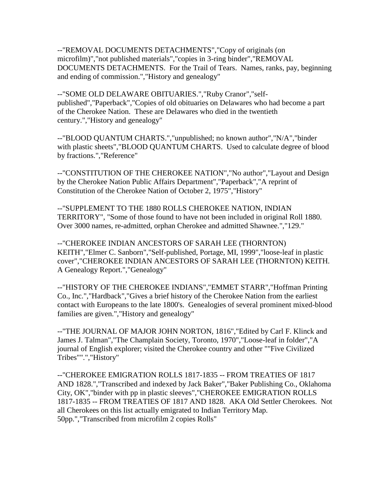--"REMOVAL DOCUMENTS DETACHMENTS","Copy of originals (on microfilm)","not published materials","copies in 3-ring binder","REMOVAL DOCUMENTS DETACHMENTS. For the Trail of Tears. Names, ranks, pay, beginning and ending of commission.","History and genealogy"

--"SOME OLD DELAWARE OBITUARIES.","Ruby Cranor","selfpublished","Paperback","Copies of old obituaries on Delawares who had become a part of the Cherokee Nation. These are Delawares who died in the twentieth century.","History and genealogy"

--"BLOOD QUANTUM CHARTS.","unpublished; no known author","N/A","binder with plastic sheets","BLOOD QUANTUM CHARTS. Used to calculate degree of blood by fractions.","Reference"

--"CONSTITUTION OF THE CHEROKEE NATION","No author","Layout and Design by the Cherokee Nation Public Affairs Department","Paperback","A reprint of Constitution of the Cherokee Nation of October 2, 1975","History"

--"SUPPLEMENT TO THE 1880 ROLLS CHEROKEE NATION, INDIAN TERRITORY", "Some of those found to have not been included in original Roll 1880. Over 3000 names, re-admitted, orphan Cherokee and admitted Shawnee.","129."

--"CHEROKEE INDIAN ANCESTORS OF SARAH LEE (THORNTON) KEITH","Elmer C. Sanborn","Self-published, Portage, MI, 1999","loose-leaf in plastic cover","CHEROKEE INDIAN ANCESTORS OF SARAH LEE (THORNTON) KEITH. A Genealogy Report.","Genealogy"

--"HISTORY OF THE CHEROKEE INDIANS","EMMET STARR","Hoffman Printing Co., Inc.","Hardback","Gives a brief history of the Cherokee Nation from the earliest contact with Europeans to the late 1800's. Genealogies of several prominent mixed-blood families are given.","History and genealogy"

--"THE JOURNAL OF MAJOR JOHN NORTON, 1816","Edited by Carl F. Klinck and James J. Talman","The Champlain Society, Toronto, 1970","Loose-leaf in folder","A journal of English explorer; visited the Cherokee country and other ""Five Civilized Tribes"".","History"

--"CHEROKEE EMIGRATION ROLLS 1817-1835 -- FROM TREATIES OF 1817 AND 1828.","Transcribed and indexed by Jack Baker","Baker Publishing Co., Oklahoma City, OK","binder with pp in plastic sleeves","CHEROKEE EMIGRATION ROLLS 1817-1835 -- FROM TREATIES OF 1817 AND 1828. AKA Old Settler Cherokees. Not all Cherokees on this list actually emigrated to Indian Territory Map. 50pp.","Transcribed from microfilm 2 copies Rolls"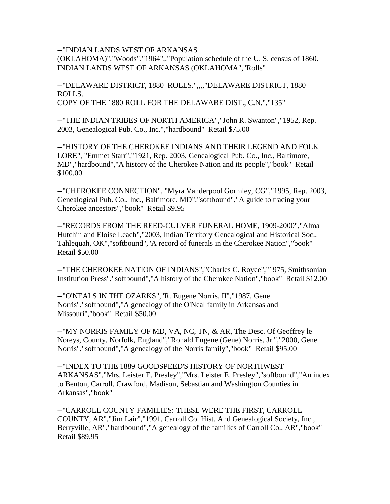--"INDIAN LANDS WEST OF ARKANSAS

(OKLAHOMA)","Woods","1964",,"Population schedule of the U. S. census of 1860. INDIAN LANDS WEST OF ARKANSAS (OKLAHOMA","Rolls"

--"DELAWARE DISTRICT, 1880 ROLLS.",,,,"DELAWARE DISTRICT, 1880 ROLLS. COPY OF THE 1880 ROLL FOR THE DELAWARE DIST., C.N.","135"

--"THE INDIAN TRIBES OF NORTH AMERICA","John R. Swanton","1952, Rep. 2003, Genealogical Pub. Co., Inc.","hardbound" Retail \$75.00

--"HISTORY OF THE CHEROKEE INDIANS AND THEIR LEGEND AND FOLK LORE", "Emmet Starr","1921, Rep. 2003, Genealogical Pub. Co., Inc., Baltimore, MD","hardbound","A history of the Cherokee Nation and its people","book" Retail \$100.00

--"CHEROKEE CONNECTION", "Myra Vanderpool Gormley, CG","1995, Rep. 2003, Genealogical Pub. Co., Inc., Baltimore, MD","softbound","A guide to tracing your Cherokee ancestors","book" Retail \$9.95

--"RECORDS FROM THE REED-CULVER FUNERAL HOME, 1909-2000","Alma Hutchin and Eloise Leach","2003, Indian Territory Genealogical and Historical Soc., Tahlequah, OK","softbound","A record of funerals in the Cherokee Nation","book" Retail \$50.00

--"THE CHEROKEE NATION OF INDIANS","Charles C. Royce","1975, Smithsonian Institution Press","softbound","A history of the Cherokee Nation","book" Retail \$12.00

--"O'NEALS IN THE OZARKS","R. Eugene Norris, II","1987, Gene Norris","softbound","A genealogy of the O'Neal family in Arkansas and Missouri","book" Retail \$50.00

--"MY NORRIS FAMILY OF MD, VA, NC, TN, & AR, The Desc. Of Geoffrey le Noreys, County, Norfolk, England","Ronald Eugene (Gene) Norris, Jr.","2000, Gene Norris","softbound","A genealogy of the Norris family","book" Retail \$95.00

--"INDEX TO THE 1889 GOODSPEED'S HISTORY OF NORTHWEST ARKANSAS","Mrs. Leister E. Presley","Mrs. Leister E. Presley","softbound","An index to Benton, Carroll, Crawford, Madison, Sebastian and Washington Counties in Arkansas","book"

--"CARROLL COUNTY FAMILIES: THESE WERE THE FIRST, CARROLL COUNTY, AR","Jim Lair","1991, Carroll Co. Hist. And Genealogical Society, Inc., Berryville, AR","hardbound","A genealogy of the families of Carroll Co., AR","book" Retail \$89.95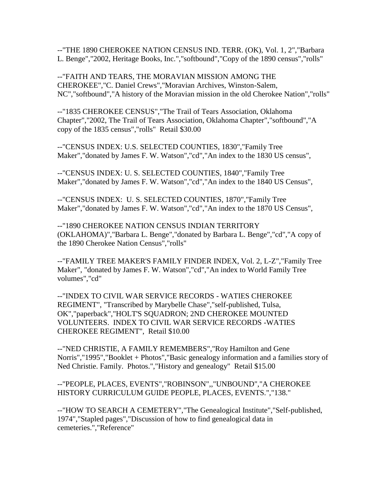--"THE 1890 CHEROKEE NATION CENSUS IND. TERR. (OK), Vol. 1, 2","Barbara L. Benge","2002, Heritage Books, Inc.","softbound","Copy of the 1890 census","rolls"

--"FAITH AND TEARS, THE MORAVIAN MISSION AMONG THE CHEROKEE","C. Daniel Crews","Moravian Archives, Winston-Salem, NC","softbound","A history of the Moravian mission in the old Cherokee Nation","rolls"

--"1835 CHEROKEE CENSUS","The Trail of Tears Association, Oklahoma Chapter","2002, The Trail of Tears Association, Oklahoma Chapter","softbound","A copy of the 1835 census","rolls" Retail \$30.00

--"CENSUS INDEX: U.S. SELECTED COUNTIES, 1830","Family Tree Maker","donated by James F. W. Watson","cd","An index to the 1830 US census",

--"CENSUS INDEX: U. S. SELECTED COUNTIES, 1840","Family Tree Maker","donated by James F. W. Watson","cd","An index to the 1840 US Census",

--"CENSUS INDEX: U. S. SELECTED COUNTIES, 1870","Family Tree Maker","donated by James F. W. Watson","cd","An index to the 1870 US Census",

--"1890 CHEROKEE NATION CENSUS INDIAN TERRITORY (OKLAHOMA)","Barbara L. Benge","donated by Barbara L. Benge","cd","A copy of the 1890 Cherokee Nation Census","rolls"

--"FAMILY TREE MAKER'S FAMILY FINDER INDEX, Vol. 2, L-Z","Family Tree Maker", "donated by James F. W. Watson","cd","An index to World Family Tree volumes","cd"

--"INDEX TO CIVIL WAR SERVICE RECORDS - WATIES CHEROKEE REGIMENT", "Transcribed by Marybelle Chase","self-published, Tulsa, OK","paperback","HOLT'S SQUADRON; 2ND CHEROKEE MOUNTED VOLUNTEERS. INDEX TO CIVIL WAR SERVICE RECORDS -WATIES CHEROKEE REGIMENT", Retail \$10.00

--"NED CHRISTIE, A FAMILY REMEMBERS","Roy Hamilton and Gene Norris","1995","Booklet + Photos","Basic genealogy information and a families story of Ned Christie. Family. Photos.","History and genealogy" Retail \$15.00

--"PEOPLE, PLACES, EVENTS","ROBINSON",,"UNBOUND","A CHEROKEE HISTORY CURRICULUM GUIDE PEOPLE, PLACES, EVENTS.","138."

--"HOW TO SEARCH A CEMETERY","The Genealogical Institute","Self-published, 1974","Stapled pages","Discussion of how to find genealogical data in cemeteries.","Reference"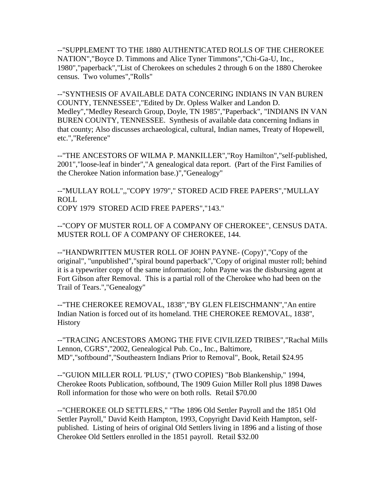--"SUPPLEMENT TO THE 1880 AUTHENTICATED ROLLS OF THE CHEROKEE NATION","Boyce D. Timmons and Alice Tyner Timmons","Chi-Ga-U, Inc., 1980","paperback","List of Cherokees on schedules 2 through 6 on the 1880 Cherokee census. Two volumes","Rolls"

--"SYNTHESIS OF AVAILABLE DATA CONCERING INDIANS IN VAN BUREN COUNTY, TENNESSEE","Edited by Dr. Opless Walker and Landon D. Medley","Medley Research Group, Doyle, TN 1985","Paperback", "INDIANS IN VAN BUREN COUNTY, TENNESSEE. Synthesis of available data concerning Indians in that county; Also discusses archaeological, cultural, Indian names, Treaty of Hopewell, etc.","Reference"

--"THE ANCESTORS OF WILMA P. MANKILLER","Roy Hamilton","self-published, 2001","loose-leaf in binder","A genealogical data report. (Part of the First Families of the Cherokee Nation information base.)","Genealogy"

--"MULLAY ROLL",,"COPY 1979"," STORED ACID FREE PAPERS","MULLAY ROLL COPY 1979 STORED ACID FREE PAPERS","143."

--"COPY OF MUSTER ROLL OF A COMPANY OF CHEROKEE", CENSUS DATA. MUSTER ROLL OF A COMPANY OF CHEROKEE, 144.

--"HANDWRITTEN MUSTER ROLL OF JOHN PAYNE- (Copy)","Copy of the original", "unpublished","spiral bound paperback","Copy of original muster roll; behind it is a typewriter copy of the same information; John Payne was the disbursing agent at Fort Gibson after Removal. This is a partial roll of the Cherokee who had been on the Trail of Tears.","Genealogy"

--"THE CHEROKEE REMOVAL, 1838","BY GLEN FLEISCHMANN","An entire Indian Nation is forced out of its homeland. THE CHEROKEE REMOVAL, 1838", History

--"TRACING ANCESTORS AMONG THE FIVE CIVILIZED TRIBES","Rachal Mills Lennon, CGRS","2002, Genealogical Pub. Co., Inc., Baltimore, MD","softbound","Southeastern Indians Prior to Removal", Book, Retail \$24.95

--"GUION MILLER ROLL 'PLUS'," (TWO COPIES) "Bob Blankenship," 1994, Cherokee Roots Publication, softbound, The 1909 Guion Miller Roll plus 1898 Dawes Roll information for those who were on both rolls. Retail \$70.00

--"CHEROKEE OLD SETTLERS," "The 1896 Old Settler Payroll and the 1851 Old Settler Payroll," David Keith Hampton, 1993, Copyright David Keith Hampton, selfpublished. Listing of heirs of original Old Settlers living in 1896 and a listing of those Cherokee Old Settlers enrolled in the 1851 payroll. Retail \$32.00